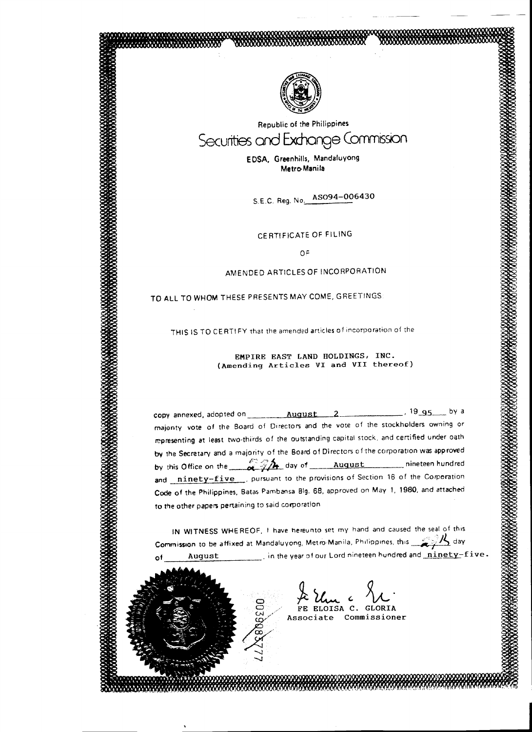

=~· /~ ~;' j. ·~ ~· ~. ,' ,', ··~' ~' ~ •' \~' ~.•\_, \~,~~ ~ .. ~,~, ~,~,~-~~~·~·~~ -::>,:/( *\_,,t .(* .j ,t.f .~.'•'•'• ··'• '•"•'~"'•t•'•·•'•'•"•··"•'•'•'•' ~:- ... --

'!"'4;:.~ ... - ::.-:: ::,·:: : ........ : ·~.:-

112<br>113

Republic of the Philippines Securities and Exchange Commission

> E DSA, Greenhills, Mandafuyong Metro- Mani Ia

S.E.C. Reg. No. AS094-006430

CERTIFICATE OF FILING

o>=

### AMENDED ARTICLES OF INCORPORATION

# TO ALL TO WHOM THESE PRESENTS MAY COME, GREETINGS

 $\subset$  $\subset$ 

**)** 

 $\sum_{i=1}^N$ ---.J

THIS IS TO CERTIFY that the amended articles of incorporation of the

### EMPIRE EAST LAND HOLDINGS, INC. (Amending Articles VI and VII thereof)

copy annexed, adopted on August 2 . 19 95 by a majonty vote of the Board of D•rectors and the vote of the stockholders owning or representing at least two-thirds of the outstanding capital stock. and certified under oath by the Secretary and a majority of the Board of Directors of the corporatron was approved by this Office on the :'.0vit day o1 August nineteen hundred and ninety-five ... pursuant to the provisions of Section 16 of the Comporation Code of the Philippines, Batas Pambansa Big. 68. approved on May 1, 1980. and attached to the other papers pertaining to said corporation

IN WITNESS WHEREOF, I have hereunto set my hand and caused the seal of this Commission to be affixed at Mandaluyong, Metro-Manila, Philippines, this  $\mathbb{Z}^1$  day August . . . . . . . . in the year of our Lord nineteen hundred and ninety-five.

> $#$  Um c  $\lambda$ FE ELOISA C. GLORIA Associate Commissioner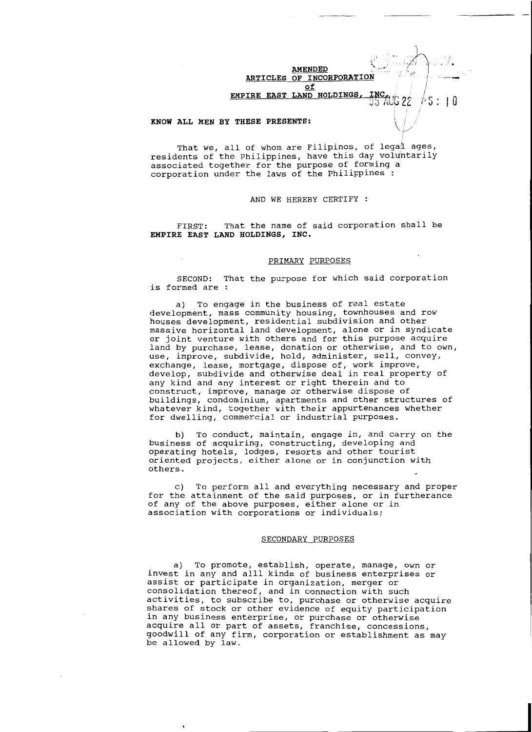**AMENDED** " ... *. :*  **ARTICLES OF INCORPORATI of EMPIRE EAST LAND HOLDINGS** 

 $\ddot{\phantom{1}}$ 

 $\mathscr{A}$ 

I I  $5:$ 

I 0

I

TAUG 22

#### **KNOW ALL MEN BY THESE PRESENTS:** \j/

That we, all of whom are Filipinos, of legal ages, residents of the Philippines, have this day voluntarily associated together for the purpose of forming a corporation under the laws of the Philippines :

#### AND WE HEREBY CERTIFY

FIRST: That the name of said corporation shall be **EMPIRE EAST LAND HOLDINGS, INC.** 

#### PRIMARY PURPOSES

SECOND: That the purpose for which said corporation is formed are

a) To engage in the business of real estate development, mass community housing, townhouses and row houses development, residential subdivision and other massive horizontal land development, alone or in syndicate or joint venture with others and for this purpose acquire land by purchase, lease, donation or otherwise, and to own, use, improve, subdivide, hold, administer, sell, convey, exchange, lease, mortgage, dispose of, work improve, develop, subdivide and otherwise deal in real property of any kind and any interest or right therein and to construct, improve, manage or otherwise dispose of buildings, condominium, apartments and other structures of whatever kind, together with their appurtenances whether for dwelling, commercial or industrial purposes.

b) To conduct, maintain, engage in, and carry on the business of acquiring, constructing, developing and operating hotels, lodges, resorts and other tourist oriented projects, either alone or in conjunction with others.

c) To perform all and everything necessary and proper for the attainment of the said purposes, or in furtherance of any of the above purposes, either alone or in association with corporations or individuals;

#### SECONDARY PURPOSES

a) To promote, establish, operate, manage, own or invest in any and alll kinds of business enterprises or assist or participate in organization, merger or consolidation thereof, and in connection with such activities, to subscribe to, purchase or otherwise acquire shares of stock or other evidence of equity participation in any business enterprise, or purchase or otherwise acquire all or part of assets, franchise, concessions, goodwill of any firm, corporation or establishment as may be allowed by law.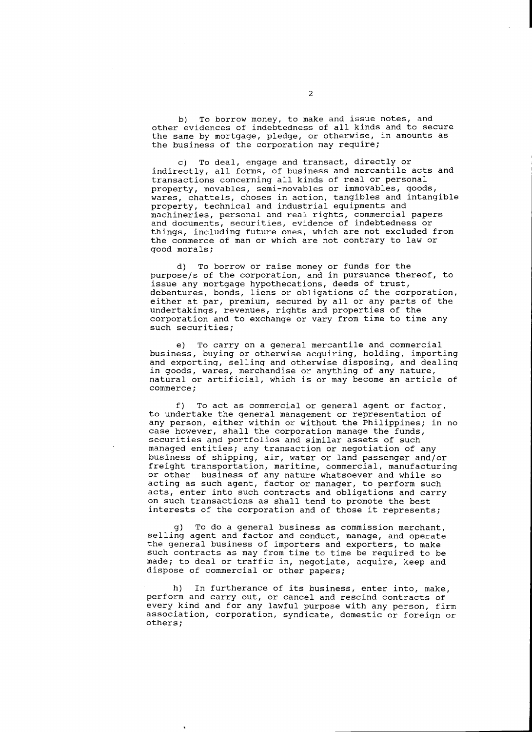b) To borrow money, to make and issue notes, and other evidences of indebtedness of all kinds and to secure the same by mortgage, pledge, or otherwise, in amounts as the business of the corporation may require;

c) To deal, engage and transact, directly or indirectly, all forms, of business and mercantile acts and transactions concerning all kinds of real or personal property, movables, semi-movables or immovables, goods, wares, chattels, choses in action, tangibles and intangible property, technical and industrial equipments and machineries, personal and real rights, commercial papers and documents, securities, evidence of indebtedness or things, including future ones, which are not excluded from the cOmmerce of man or which are not contrary to law or good morals;

d) To borrow or raise money or funds for the purposejs of the corporation, and in pursuance thereof, to issue any mortgage hypothecations, deeds of trust, debentures, bonds, liens or obligations of the corporation, either at par, premium, secured by all or any parts of the undertakings, revenues, rights and properties of the corporation and to exchange or vary from time to time any such securities;

e) To carry on a general mercantile and commercial business, buying or otherwise acquiring, holding, importing and exporting, selling and otherwise disposing, and dealing in goods, wares, merchandise or anything of any nature, natural or artificial, which is or may become an article of commerce;

f) To act as commercial or general agent or factor, to undertake the general management or representation of any person, either within or without the Philippines; in no case however, shall the corporation manage the funds, securities and portfolios and similar assets of such managed entities; any transaction or negotiation of any business of shipping, air, water or land passenger and/or freight transportation, maritime, commercial, manufacturing or other business of any nature whatsoever and while so acting as such agent, factor or manager, to perform such acts, enter into such contracts and obligations and carry on such transactions as shall tend to promote the best interests of the corporation and of those it represents;

g) To do a general business as commission merchant, selling agent and factor and conduct, manage, and operate the general business of importers and exporters, to make such contracts as may from time to time be required to be made; to deal or traffic in, negotiate, acquire, keep and dispose of commercial or other papers;

h) In furtherance of its business, enter into, make, perform and carry out, or cancel and rescind contracts of every kind and for any lawful purpose with any person, firm association, corporation, syndicate, domestic or foreign or others;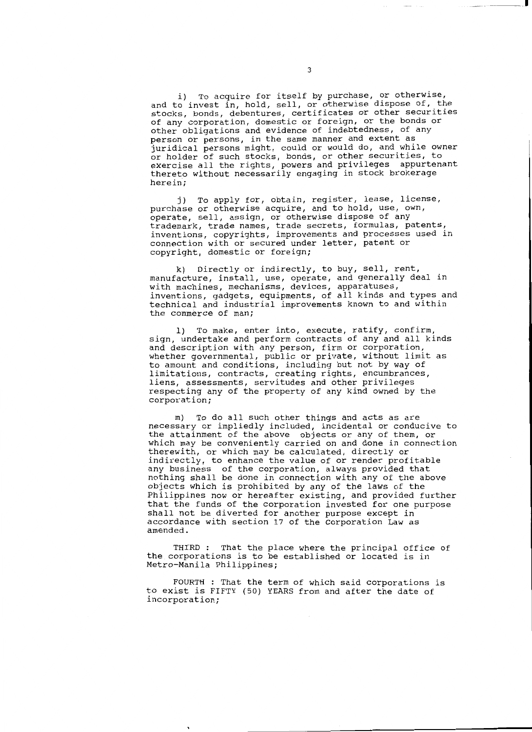i) To acquire for itself by purchase, or otherwise, and to invest in, hold, sell, or otherwise dispose of, the stocks, bonds, debentures, certificates or other securities of any corporation, domestic or foreign, or the bonds or other obligations and evidence of indebtedness, of any person or persons, in the same manner and extent as juridical persons might, could or would do, and while owner or holder of such stocks, bonds, or other securities, to exercise all the rights, powers and privileges appurtenant thereto without necessarily engaging in stock brokerage herein;

j) To apply for, obtain, register, lease, license, purchase or otherwise acquire, and to hold, use, own, operate, sell, assign, or otherwise dispose of any trademark, trade names, trade secrets, formulas, patents, inventions, copyrights, improvements and processes used in connection with or secured under letter, patent or copyright, domestic or foreign;

k) Directly or indirectly, to buy, sell, rent, manufacture, install, use, operate, and generally deal in with machines, mechanisms, devices, apparatuses, inventions, gadgets, equipments, of all kinds and types and technical and industrial improvements known to and within the commerce of man;

l) To make, enter into, execute, ratify, confirm, sign, undertake and perform contracts of any and all kinds and description with any person, firm or corporation, whether governmental, public or private, without limit as to amount and conditions, including but not by way of limitations, contracts, creating rights, encumbrances, liens, assessments, servitudes and other privileges respecting any of the property of any kind owned by the corporation;

m) To do all such other things and acts as are necessary or impliedly included, incidental or conducive to the attainment of the above objects or any of them, or which may be conveniently carried on and done in connection therewith, or which may be calculated, directly or indirectly, to enhance the value of or render profitable any business of the corporation, always provided that nothing shall be done in connection with any of the above objects which is prohibited by any of the laws of the Philippines now or hereafter existing, and provided further that the funds of the corporation invested for one purpose shall not be diverted for another purpose except in accordance with section 17 of the Corporation Law as amended.

THIRD : That the place where the principal office of the corporations is to be established or located is in Metro-Manila Philippines;

FOURTH : That the term of which said corporations is to exist is FIFTY (50) YEARS from and after the date of incorporation;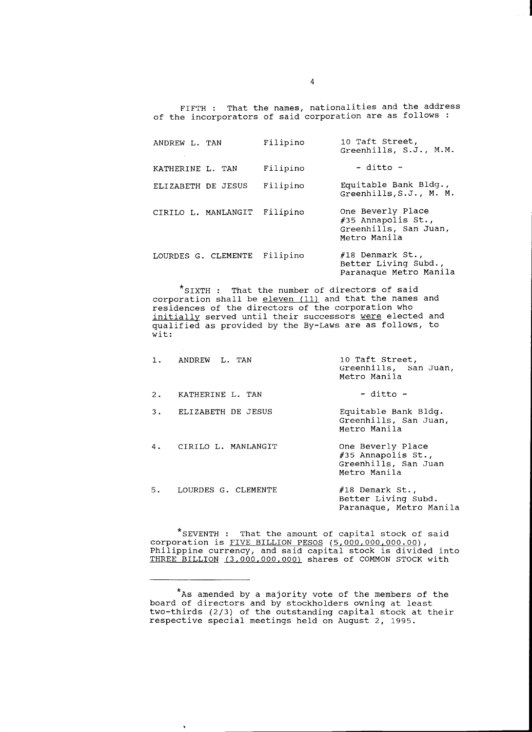FIFTH : That the names, nationalities and the address of the incorporators of said corporation are as follows :

| ANDREW L. TAN       | Filipino | 10 Taft Street,<br>Greenhills, S.J., M.M.                                        |
|---------------------|----------|----------------------------------------------------------------------------------|
| KATHERINE L. TAN    | Filipino | $-$ ditto $-$                                                                    |
| ELIZABETH DE JESUS  | Filipino | Equitable Bank Bldg.,<br>Greenhills, S.J., M. M.                                 |
| CIRILO L. MANLANGIT | Filipino | One Beverly Place<br>#35 Annapolis St.,<br>Greenhills, San Juan,<br>Metro Manila |
| LOURDES G. CLEMENTE | Filipino | #18 Denmark St.,<br>Better Living Subd.,<br>Paranaque Metro Manila               |

\*siXTH : That the number of directors of said corporation shall be eleven (11) and that the names and residences of the directors of the corporation who initially served until their successors were elected and qualified as provided by the By-Laws are as follows, to wit:

 $\mathcal{A}$ 

| 1. | ANDREW L. TAN       | 10 Taft Street,<br>Greenhills, San Juan,<br>Metro Manila                          |
|----|---------------------|-----------------------------------------------------------------------------------|
| 2. | KATHERINE L. TAN    | - ditto -                                                                         |
| 3. | ELIZABETH DE JESUS  | Equitable Bank Bldg.<br>Greenhills, San Juan,<br>Metro Manila                     |
| 4. | CIRILO L. MANLANGIT | One Beverly Place<br>$#35$ Annapolis St.,<br>Greenhills, San Juan<br>Metro Manila |
| 5. | LOURDES G. CLEMENTE | $#18$ Demark St.,<br>Better Living Subd.<br>Paranaque, Metro Manila               |

\*sEVENTH : That the amount of capital stock of said corporation is FIVE BILLION PESOS (5,000,000,000.00), Philippine currency, and said capital stock is divided into THREE BILLION (3,000,000,000) shares of COMMON STOCK with

<sup>\*</sup>As amended by a majority vote of the members of the board of directors and by stockholders owning at least two-thirds (2/3) of the outstanding capital stock at their respective special meetings held on August 2, 1995.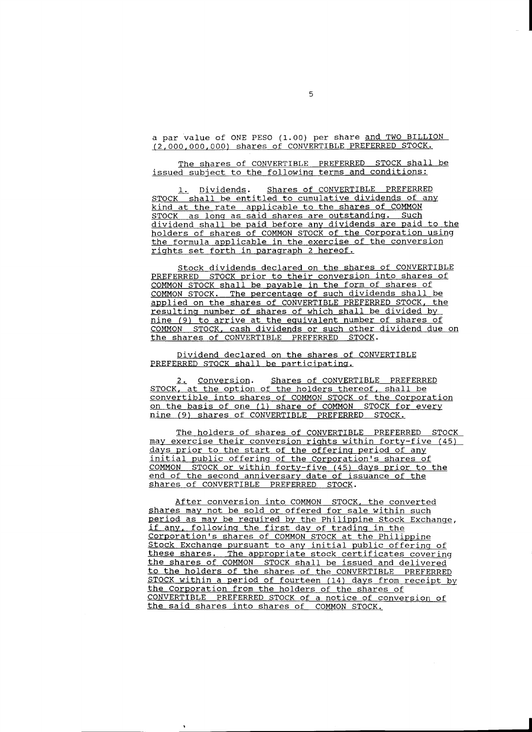a par value of ONE PESO (1.00) per share and TWO BILLION (2,000,000,000) shares of CONVERTIBLE PREFERRED STOCK.

The shares of CONVERTIBLE PREFERRED STOCK shall be issued subject to the following terms and conditions:

1. Dividends. Shares of CONVERTIBLE PREFERRED STOCK shall be entitled to cumulative dividends of any kind at the rate applicable to the shares of COMMON STOCK as long as said shares are outstanding. Such dividend shall be paid before any dividends are paid to the holders of shares of COMMON STOCK of the Corporation using the formula applicable in the exercise of the conversion rights set forth in paragraph 2 hereof.

Stock dividends declared on the shares of CONVERTIBLE PREFERRED STOCK prior to their conversion into shares of COMMON STOCK shall be payable in the form of shares of COMMON STOCK. The percentage of such dividends shall be applied on the shares of CONVERTIBLE PREFERRED STOCK, the resulting number of shares of which shall be divided by nine (9) to arrive at the equivalent number of shares of COMMON STOCK, cash dividends or such other dividend due on the shares of CONVERTIBLE PREFERRED STOCK.

Dividend declared on the shares of CONVERTIBLE PREFERRED STOCK shall be participating.

2. Conversion. Shares of CONVERTIBLE PREFERRED STOCK, at the option of the holders thereof, shall be convertible into shares of COMMON STOCK of the Corporation on the basis of one (1) share of COMMON STOCK for every nine (9) shares of CONVERTIBLE PREFERRED STOCK.

The holders of shares of CONVERTIBLE PREFERRED STOCK mav exercise their conversion rights within forty-five (45) days prior to the start of the offering period of any initial public offering of the Corporation's shares of COMMON STOCK or within forty-five (45) days prior to the end of the second anniversary date of issuance of the shares of CONVERTIBLE PREFERRED STOCK.

After conversion into COMMON STOCK, the converted shares may not be sold or offered for sale within such period as may be required by the Philippine Stock Exchange, if any, following the first day of trading in the Corporation's shares of COMMON STOCK at the Philippine Stock Exchange pursuant to any initial public offering of these shares. The appropriate stock certificates covering the shares of COMMON STOCK shall be issued and delivered to the holders of the shares of the CONVERTIBLE PREFERRED STOCK within a period of fourteen (14) days from receipt by the Corporation from the holders of the shares of CONVERTIBLE PREFERRED STOCK of a notice of conversion of the said shares into shares of COMMON STOCK.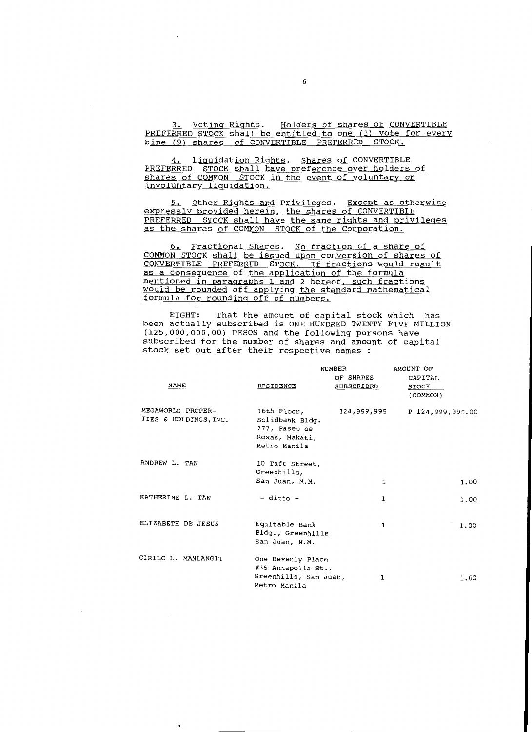3. Voting Rights. Holders of shares of CONVERTIBLE PREFERRED STOCK shall be entitled to one (1) vote for every nine (9) shares of CONVERTIBLE PREFERRED STOCK.

4. Liquidation Rights. Shares of CONVERTIBLE PREFERRED STOCK shall have preference over holders of shares of COMMON STOCK in the event of voluntary or involuntary liquidation.

5. Other Rights and Privileges. Except as otherwise expressly provided herein, the shares of CONVERTIBLE PREFERRED STOCK shall have the same rights and privileges as the shares of COMMON STOCK of the Corporation.

6. Fractional Shares. No fraction of a share of COMMON STOCK shall be issued upon conversion of shares of CONVERTIBLE PREFERRED STOCK. If fractions would result as a consequence of the application of the formula mentioned in paragraphs 1 and 2 hereof, such fractions would be rounded off applying the standard mathematical formula for rounding off of numbers.

EIGHT: That the amount of capital stock which has been actually subscribed is ONE HUNDRED TWENTY FIVE MILLION (125,000,000,00) PESOS and the following persons have subscribed for the number of shares and amount of capital stock set out after their respective names

|                                            |                                                                                   | NUMBER<br>OF SHARES | AMOUNT OF<br>CAPITAL |      |
|--------------------------------------------|-----------------------------------------------------------------------------------|---------------------|----------------------|------|
| NAME                                       | RESIDENCE                                                                         | SUBSCRIBED          | STOCK<br>(COMMON)    |      |
| MEGAWORLD PROPER-<br>TIES & HOLDINGS, INC. | 16th Floor,<br>Solidbank Bldg.<br>777, Paseo de<br>Roxas, Makati,<br>Metro Manila | 124,999,995         | P 124,999,995.00     |      |
| ANDREW L. TAN                              | 10 Taft Street,<br>Greenhills,<br>San Juan, M.M.                                  | 1                   |                      | 1,00 |
| KATHERINE L. TAN                           | - ditto -                                                                         | 1                   |                      | 1.00 |
| ELIZABETH DE JESUS                         | Equitable Bank<br>Bldg., Greenhills<br>San Juan, M.M.                             | 1                   |                      | 1.00 |
| CIRILO L. MANLANGIT                        | One Beverly Place<br>#35 Annapolis St.,<br>Greenhills, San Juan,<br>Metro Manila  | 1                   |                      | 1.00 |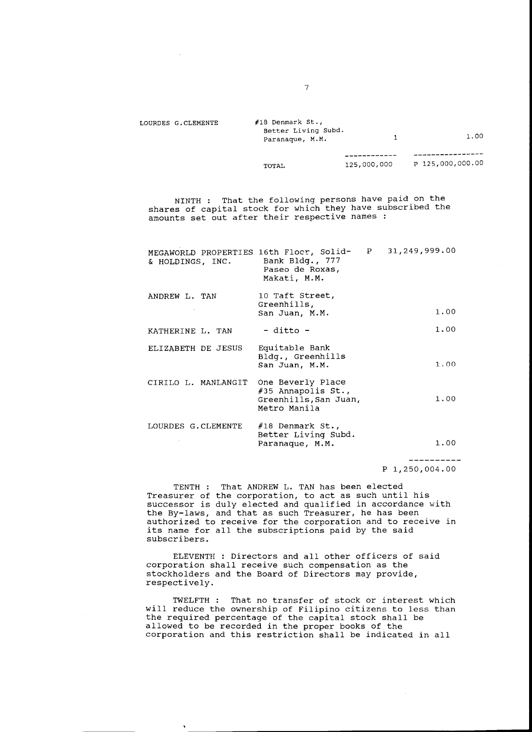| LOURDES G.CLEMENTE | $#18$ Denmark St.,<br>Better Living Subd.<br>Paranaque, M.M. |             | 1.00             |
|--------------------|--------------------------------------------------------------|-------------|------------------|
|                    |                                                              |             |                  |
|                    | TOTAL                                                        | 125,000,000 | P 125,000,000.00 |

NINTH : That the following persons have paid on the shares of capital stock for which they have subscribed the amounts set out after their respective names :

| MEGAWORLD PROPERTIES 16th Flocr, Solid-<br>& HOLDINGS, INC. | Bank Bldg., 777<br>Paseo de Roxas,<br>Makati, M.M.                                 | P | 31,249,999.00 |
|-------------------------------------------------------------|------------------------------------------------------------------------------------|---|---------------|
| ANDREW L. TAN                                               | 10 Taft Street,<br>Greenhills,<br>San Juan, M.M.                                   |   | 1.00          |
| KATHERINE L. TAN                                            | - ditto -                                                                          |   | 1.00          |
| ELIZABETH DE JESUS                                          | Equitable Bank<br>Bldg., Greenhills<br>San Juan, M.M.                              |   | 1.00          |
| CIRILO L. MANLANGIT                                         | One Beverly Place<br>$#35$ Annapolis St.,<br>Greenhills, San Juan,<br>Metro Manila |   | 1.00          |
| LOURDES G.CLEMENTE                                          | #18 Denmark St.,<br>Better Living Subd.<br>Paranaque, M.M.                         |   | 1.00          |

p 1,250,004.00

----------

TENTH : That ANDREW L. TAN has been elected Treasurer of the corporation, to act as such until his successor is duly elected and qualified in accordance with the By-laws, and that as such Treasurer, he has been authorized to receive for the corporation and to receive in its name for all the subscriptions paid by the said subscribers.

ELEVENTH : Directors and all other officers of said corporation shall receive such compensation as the stockholders and the Board of Directors may provide, respectively.

TWELFTH : That no transfer of stock or interest which will reduce the ownership of Filipino citizens to less than the required percentage of the capital stock shall be allowed to be recorded in the proper books of the corporation and this restriction shall be indicated in all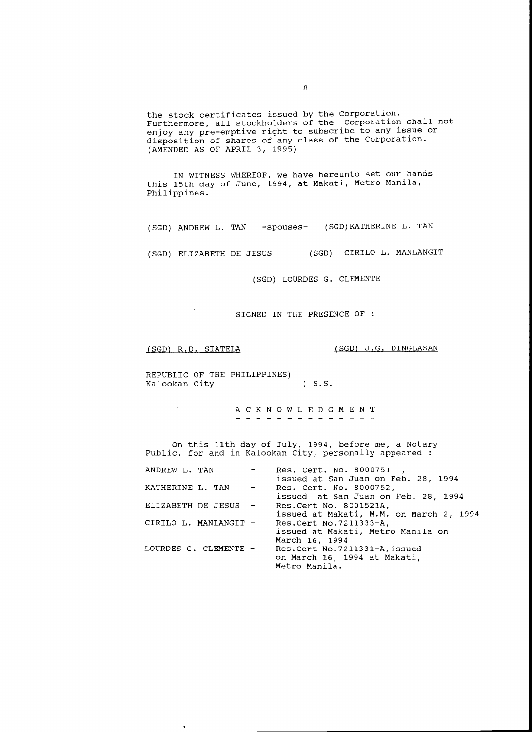the stock certificates issued by the Corporation. Furthermore, all stockholders of the Corporation shall not enjoy any pre-emptive right to subscribe to any issue or disposition of shares of any class of the Corporation. (AMENDED AS OF APRIL 3, 1995)

IN WITNESS WHEREOF, we have hereunto set our hanos this 15th day of June, 1994, at Makati, Metro Manila, Philippines.

(SGD) ANDREW L. TAN -spouses- (SGD)KATHERINE L. TAN

(SGD) ELIZABETH DE JESUS (SGD) CIRILO L. MANLANGIT

(SGD) LOURDES G. CLEMENTE

SIGNED IN THE PRESENCE OF :

 $\bar{u}$ 

(SGD) R.D. SIATELA (SGD) J.G. DINGLASAN

REPUBLIC OF THE PHILIPPINES) Kalookan City (3.S.

> A C K N 0 W L E D G M E N T - - - - - - - - - - - - - -

On this 11th day of July, 1994, before me, a Notary Public, for and in Kalookan City, personally appeared :

| ANDREW L. TAN         |                                                   | Res. Cert. No. 8000751<br>issued at San Juan on Feb. 28, 1994                    |
|-----------------------|---------------------------------------------------|----------------------------------------------------------------------------------|
| KATHERINE L. TAN      | $\frac{1}{2}$ and $\frac{1}{2}$ and $\frac{1}{2}$ | Res. Cert. No. 8000752,<br>issued at San Juan on Feb. 28, 1994                   |
| ELIZABETH DE JESUS -  |                                                   | Res. Cert No. 8001521A,<br>issued at Makati, M.M. on March 2, 1994               |
| CIRILO L. MANLANGIT - |                                                   | Res. Cert No. 7211333-A,<br>issued at Makati, Metro Manila on<br>March 16, 1994  |
| LOURDES G. CLEMENTE - |                                                   | Res. Cert No. 7211331-A, issued<br>on March 16, 1994 at Makati,<br>Metro Manila. |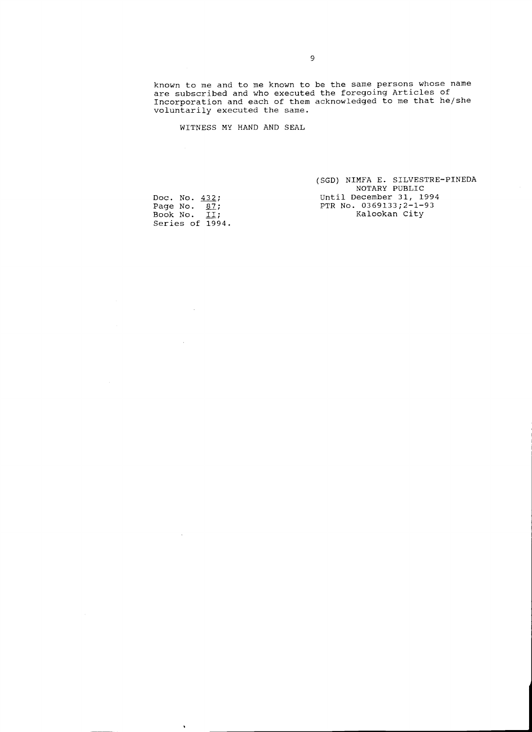known to me and to me known to be the same persons whose name are subscribed and who executed the foregoing Articles of Incorporation and each of them acknowledged to me that he/she voluntarily executed the same.

WITNESS MY HAND AND SEAL

(SGD) NIMFA E. SILVESTRE-PINEDA NOTARY PUBLIC Until December 31, 1994 PTR No. 0369133;2-1-93 Kalookan City

Doc. No. Page No. Book No. Series of 432; 87; II; 1994.

 $\sim$ 

 $\hat{\mathcal{A}}$ 

 $\sim 10$ 

 $\hat{\mathbf{r}}$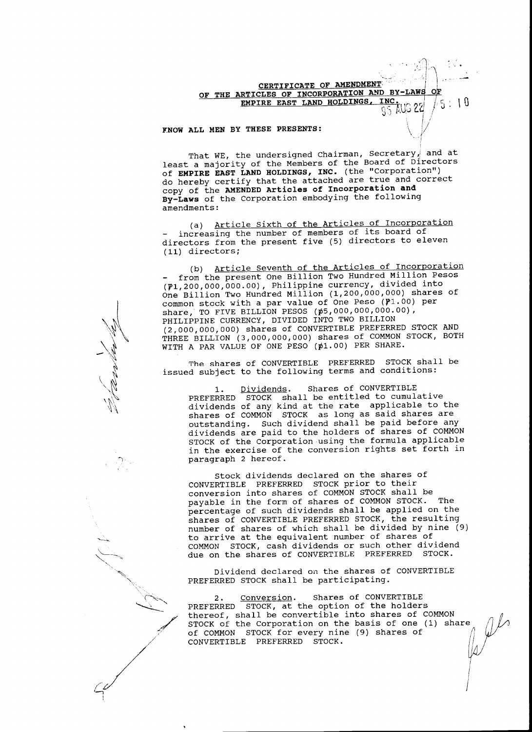# $\bigcap$  . OF THE ARTICLES OF INCORPORATION AND BY-LAWS OF **CERTIFICATE OF AMENDMENT EMPIRE EAST LAND HOLDINGS, INC.**  $95$  AUG 22  $\frac{1}{2}$ , 10

I I

 $\theta$ 

 $\overline{ }$ 

' *{* 

#### KNOW ALL MEN BY THESE PRESENTS:

 $\mathbb{W}$ 

 $\bigwedge_{\mathcal{M}}\mathcal{N}$  $\ddot{\phantom{1}}$ ~  $\mathcal{L}$  $\mathcal{M}$  $\mathcal{U}_a$ 

\~\

-)

~/

.....\_\_\_,.,\_  $\searrow$  . '·

l

That WE, the undersigned Chairman, Secretary, and at least a majority of the Members of the Board of Directors of **EMPIRE EAST LAND HOLDINGS, INC.** (the "Corporation") do hereby certify that the attached are true and correct copy of the **AMENDED Articles of Incorporation and By-Laws** of the Corporation embodying the following amendments:

(a) Article sixth of the Articles of Incorporation increasing the number of members of its board of directors from the present five (5) directors to eleven (11) directors;

(b) Article Seventh of the Articles of Incorporation from the present One Billion Two Hundred Million Pesos (P1,200,000,000.00), Philippine currency, divided into One Billion Two Hundred Million (1,200,000,000) shares of common stock with a par value of One Peso  $(\mathtt{P1.00})$  per share, TO FIVE BILLION PESOS (p5,000,000,000.00), PHILIPPINE CURRENCY, DIVIDED INTO TWO BILLION (2,000,000,000) shares of CONVERTIBLE PREFERRED STOCK AND THREE BILLION (3,000,000,000) shares of COMMON STOCK, BOTH WITH A PAR VALUE OF ONE PESO (¢1.00) PER SHARE.

The shares of CONVERTIBLE PREFERRED STOCK shall be issued subject to the following terms and conditions:

1. Dividends. Shares of CONVERTIBLE PREFERRED STOCK shall be entitled to cumulative dividends of any kind at the rate applicable to the shares of COMMON STOCK as long as said shares are outstanding. Such dividend shall be paid before any dividends are paid to the holders of shares of COMMON STOCK of the Corporation using the formula applicable in the exercise of the conversion rights set forth in paragraph 2 hereof.

stock dividends declared on the shares of CONVERTIBLE PREFERRED STOCK prior to their conversion into shares of COMMON STOCK shall be payable in the form of shares of COMMON STOCK. The percentage of such dividends shall be applied on the shares of CONVERTIBLE PREFERRED STOCK, the resulting number of shares of which shall be divided by nine (9) to arrive at the equivalent number of shares of COMMON STOCK, cash dividends or such other dividend due on the shares of CONVERTIBLE PREFERRED STOCK.

Dividend declared on the shares of CONVERTIBLE PREFERRED STOCK shall be participating.

2. Conversion. Shares of CONVERTIBLE<br>PREFERRED STOCK, at the option of the holders of COMMON STOCK for every nine (9) shares of thereof, shall be convertible into shares of COMMON STOCK of the Corporation on the basis of one (1) share CONVERTIBLE PREFERRED STOCK.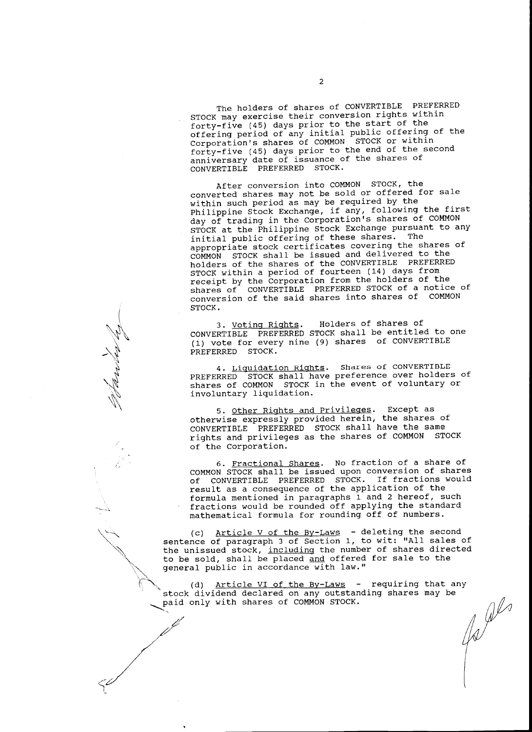The holders of shares of CONVERTIBLE PREFERRED STOCK may exercise their conversion rights within forty-five (45) days prior to the start of the offering period of any initial public offering of the Corporation's shares of COMMON STOCK or within forty-five (45) days prior to the end of the second anniversary date of issuance of the shares of CONVERTIBLE PREFERRED STOCK.

After conversion into COMMON STOCK, the converted shares may not be sold or offered for sale within such period as may be required by the Philippine Stock Exchange, if any, following the first day of trading in the Corporation's shares of COMMON STOCK at the Philippine Stock Exchange pursuant to any<br>initial public offering of these shares. The initial public offering of these shares. appropriate stock certificates covering the shares of COMMON STOCK shall be issued and delivered to the holders of the shares of the CONVERTIBLE PREFERRED STOCK within a period of fourteen (14) days from receipt by the Corporation from the holders of the shares of CONVERTIBLE PREFERRED STOCK of a notice of conversion of the said shares into shares of COMMON STOCK.

3. Voting Rights. Holders of shares of CONVERTIBLE PREFERRED STOCK shall be entitled to one (1) vote for every nine (9) shares of CONVERTIBLE PREFERRED STOCK.

 $\left($ 

~\

-'"~ ~ '~ ~ '\\

 $\sim$ 

 $\sim$  .  $\sim$ 

 $\cdot$   $\cdot$   $\cdot$   $\cdot$ "· "~

.,.-\_/-  $\gamma'$ 

., '\ ..

 $\sim$   $\sim$ 

/

4. Liquidation Rights. Shares of CONVERTIBLE PREFERRED STOCK shall have preference over holders of shares of COMMON STOCK in the event of voluntary or involuntary liquidation.

5. Oth<u>er Rights and Privileges</u>. Except as otherwise expressly provided herein, the shares of CONVERTIBLE PREFERRED STOCK shall have the same rights and privileges as the shares of COMMON STOCK of the Corporation.

6. Fractional Shares. No fraction of a share of COMMON STOCK shall be issued upon conversion of shares of CONVERTIBLE PREFERRED STOCK. If fractions would result as a consequence of the application of the formula mentioned in paragraphs 1 and 2 hereof, such fractions would be rounded off applying the standard mathematical formula for rounding off of numbers.

(c) Article V of the By-Laws - deleting the second sentence of paragraph 3 of Section 1, to wit: "All sales of the unissued stock, including the number of shares directed to be sold, shall be placed and offered for sale to the general public in accordance with law."

(d) Article VI of the By-Laws - requiring that any<br>dividend declared on any outstanding shares may be<br>only with shares of COMMON STOCK. stock dividend declared on any outstanding shares may be paid only with shares of COMMON STOCK.